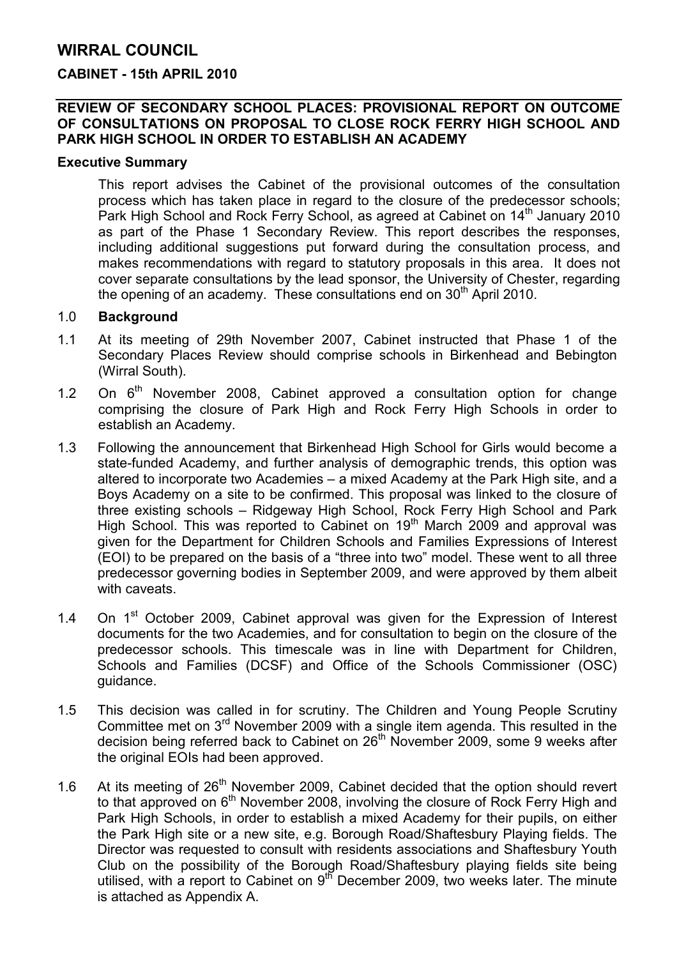## WIRRAL COUNCIL

#### CABINET - 15th APRIL 2010

#### REVIEW OF SECONDARY SCHOOL PLACES: PROVISIONAL REPORT ON OUTCOME OF CONSULTATIONS ON PROPOSAL TO CLOSE ROCK FERRY HIGH SCHOOL AND PARK HIGH SCHOOL IN ORDER TO ESTABLISH AN ACADEMY

#### Executive Summary

This report advises the Cabinet of the provisional outcomes of the consultation process which has taken place in regard to the closure of the predecessor schools; Park High School and Rock Ferry School, as agreed at Cabinet on 14<sup>th</sup> January 2010 as part of the Phase 1 Secondary Review. This report describes the responses, including additional suggestions put forward during the consultation process, and makes recommendations with regard to statutory proposals in this area. It does not cover separate consultations by the lead sponsor, the University of Chester, regarding the opening of an academy. These consultations end on  $30<sup>th</sup>$  April 2010.

#### 1.0 Background

- 1.1 At its meeting of 29th November 2007, Cabinet instructed that Phase 1 of the Secondary Places Review should comprise schools in Birkenhead and Bebington (Wirral South).
- 1.2 On  $6<sup>th</sup>$  November 2008, Cabinet approved a consultation option for change comprising the closure of Park High and Rock Ferry High Schools in order to establish an Academy.
- 1.3 Following the announcement that Birkenhead High School for Girls would become a state-funded Academy, and further analysis of demographic trends, this option was altered to incorporate two Academies – a mixed Academy at the Park High site, and a Boys Academy on a site to be confirmed. This proposal was linked to the closure of three existing schools – Ridgeway High School, Rock Ferry High School and Park High School. This was reported to Cabinet on  $19<sup>th</sup>$  March 2009 and approval was given for the Department for Children Schools and Families Expressions of Interest (EOI) to be prepared on the basis of a "three into two" model. These went to all three predecessor governing bodies in September 2009, and were approved by them albeit with caveats.
- 1.4 On  $1<sup>st</sup>$  October 2009, Cabinet approval was given for the Expression of Interest documents for the two Academies, and for consultation to begin on the closure of the predecessor schools. This timescale was in line with Department for Children, Schools and Families (DCSF) and Office of the Schools Commissioner (OSC) guidance.
- 1.5 This decision was called in for scrutiny. The Children and Young People Scrutiny Committee met on 3rd November 2009 with a single item agenda. This resulted in the decision being referred back to Cabinet on 26<sup>th</sup> November 2009, some 9 weeks after the original EOIs had been approved.
- 1.6 At its meeting of 26<sup>th</sup> November 2009, Cabinet decided that the option should revert to that approved on  $6<sup>th</sup>$  November 2008, involving the closure of Rock Ferry High and Park High Schools, in order to establish a mixed Academy for their pupils, on either the Park High site or a new site, e.g. Borough Road/Shaftesbury Playing fields. The Director was requested to consult with residents associations and Shaftesbury Youth Club on the possibility of the Borough Road/Shaftesbury playing fields site being utilised, with a report to Cabinet on  $9<sup>th</sup>$  December 2009, two weeks later. The minute is attached as Appendix A.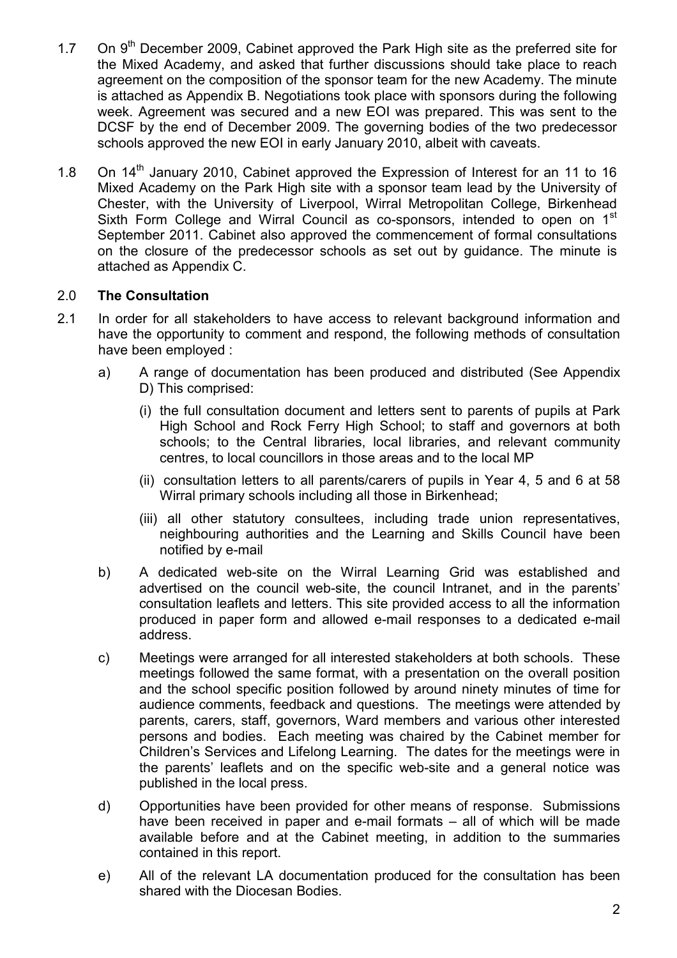- 1.7 On 9<sup>th</sup> December 2009, Cabinet approved the Park High site as the preferred site for the Mixed Academy, and asked that further discussions should take place to reach agreement on the composition of the sponsor team for the new Academy. The minute is attached as Appendix B. Negotiations took place with sponsors during the following week. Agreement was secured and a new EOI was prepared. This was sent to the DCSF by the end of December 2009. The governing bodies of the two predecessor schools approved the new EOI in early January 2010, albeit with caveats.
- 1.8 On 14<sup>th</sup> January 2010, Cabinet approved the Expression of Interest for an 11 to 16 Mixed Academy on the Park High site with a sponsor team lead by the University of Chester, with the University of Liverpool, Wirral Metropolitan College, Birkenhead Sixth Form College and Wirral Council as co-sponsors, intended to open on 1<sup>st</sup> September 2011. Cabinet also approved the commencement of formal consultations on the closure of the predecessor schools as set out by guidance. The minute is attached as Appendix C.

## 2.0 The Consultation

- 2.1 In order for all stakeholders to have access to relevant background information and have the opportunity to comment and respond, the following methods of consultation have been employed :
	- a) A range of documentation has been produced and distributed (See Appendix D) This comprised:
		- (i) the full consultation document and letters sent to parents of pupils at Park High School and Rock Ferry High School; to staff and governors at both schools; to the Central libraries, local libraries, and relevant community centres, to local councillors in those areas and to the local MP
		- (ii) consultation letters to all parents/carers of pupils in Year 4, 5 and 6 at 58 Wirral primary schools including all those in Birkenhead;
		- (iii) all other statutory consultees, including trade union representatives, neighbouring authorities and the Learning and Skills Council have been notified by e-mail
	- b) A dedicated web-site on the Wirral Learning Grid was established and advertised on the council web-site, the council Intranet, and in the parents' consultation leaflets and letters. This site provided access to all the information produced in paper form and allowed e-mail responses to a dedicated e-mail address.
	- c) Meetings were arranged for all interested stakeholders at both schools. These meetings followed the same format, with a presentation on the overall position and the school specific position followed by around ninety minutes of time for audience comments, feedback and questions. The meetings were attended by parents, carers, staff, governors, Ward members and various other interested persons and bodies. Each meeting was chaired by the Cabinet member for Children's Services and Lifelong Learning. The dates for the meetings were in the parents' leaflets and on the specific web-site and a general notice was published in the local press.
	- d) Opportunities have been provided for other means of response. Submissions have been received in paper and e-mail formats – all of which will be made available before and at the Cabinet meeting, in addition to the summaries contained in this report.
	- e) All of the relevant LA documentation produced for the consultation has been shared with the Diocesan Bodies.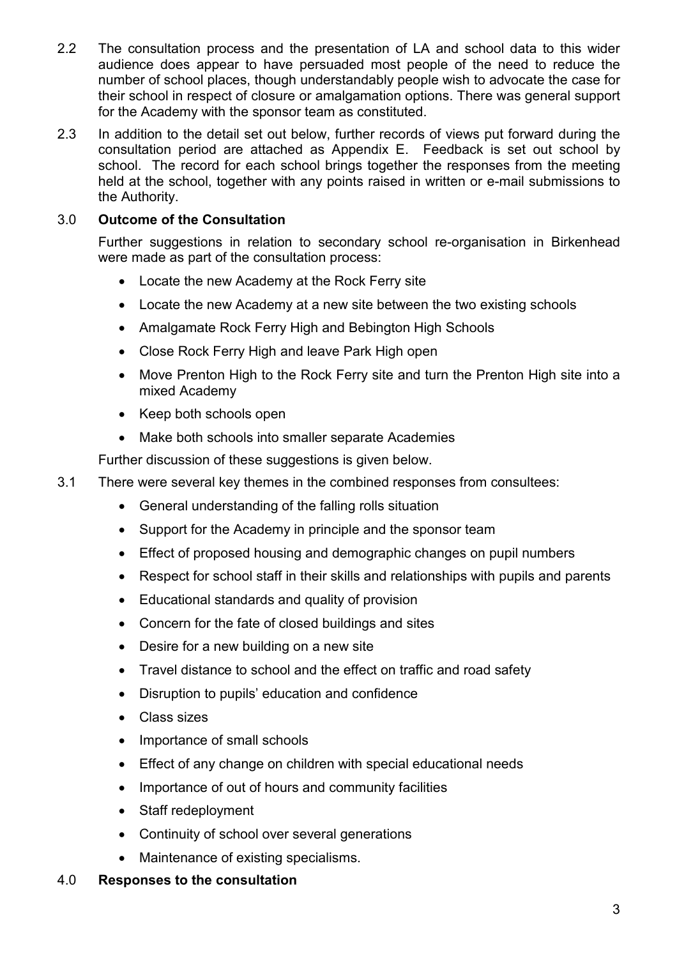- 2.2 The consultation process and the presentation of LA and school data to this wider audience does appear to have persuaded most people of the need to reduce the number of school places, though understandably people wish to advocate the case for their school in respect of closure or amalgamation options. There was general support for the Academy with the sponsor team as constituted.
- 2.3 In addition to the detail set out below, further records of views put forward during the consultation period are attached as Appendix E. Feedback is set out school by school. The record for each school brings together the responses from the meeting held at the school, together with any points raised in written or e-mail submissions to the Authority.

## 3.0 Outcome of the Consultation

Further suggestions in relation to secondary school re-organisation in Birkenhead were made as part of the consultation process:

- Locate the new Academy at the Rock Ferry site
- Locate the new Academy at a new site between the two existing schools
- Amalgamate Rock Ferry High and Bebington High Schools
- Close Rock Ferry High and leave Park High open
- Move Prenton High to the Rock Ferry site and turn the Prenton High site into a mixed Academy
- Keep both schools open
- Make both schools into smaller separate Academies

Further discussion of these suggestions is given below.

- 3.1 There were several key themes in the combined responses from consultees:
	- General understanding of the falling rolls situation
	- Support for the Academy in principle and the sponsor team
	- Effect of proposed housing and demographic changes on pupil numbers
	- Respect for school staff in their skills and relationships with pupils and parents
	- Educational standards and quality of provision
	- Concern for the fate of closed buildings and sites
	- Desire for a new building on a new site
	- Travel distance to school and the effect on traffic and road safety
	- Disruption to pupils' education and confidence
	- Class sizes
	- Importance of small schools
	- Effect of any change on children with special educational needs
	- Importance of out of hours and community facilities
	- Staff redeployment
	- Continuity of school over several generations
	- Maintenance of existing specialisms.

#### 4.0 Responses to the consultation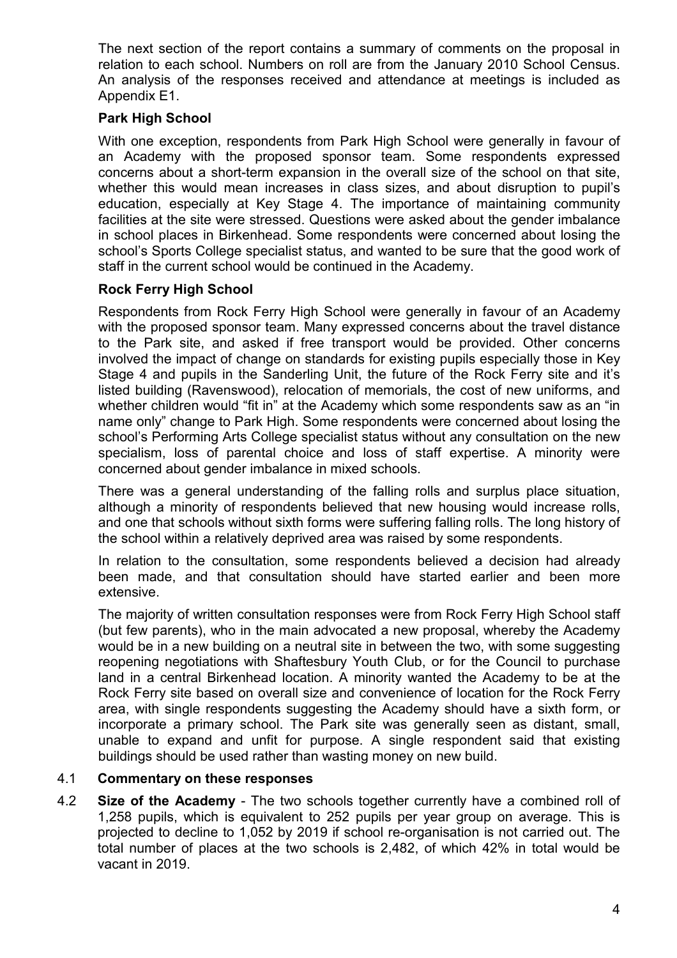The next section of the report contains a summary of comments on the proposal in relation to each school. Numbers on roll are from the January 2010 School Census. An analysis of the responses received and attendance at meetings is included as Appendix E1.

## Park High School

With one exception, respondents from Park High School were generally in favour of an Academy with the proposed sponsor team. Some respondents expressed concerns about a short-term expansion in the overall size of the school on that site, whether this would mean increases in class sizes, and about disruption to pupil's education, especially at Key Stage 4. The importance of maintaining community facilities at the site were stressed. Questions were asked about the gender imbalance in school places in Birkenhead. Some respondents were concerned about losing the school's Sports College specialist status, and wanted to be sure that the good work of staff in the current school would be continued in the Academy.

## Rock Ferry High School

Respondents from Rock Ferry High School were generally in favour of an Academy with the proposed sponsor team. Many expressed concerns about the travel distance to the Park site, and asked if free transport would be provided. Other concerns involved the impact of change on standards for existing pupils especially those in Key Stage 4 and pupils in the Sanderling Unit, the future of the Rock Ferry site and it's listed building (Ravenswood), relocation of memorials, the cost of new uniforms, and whether children would "fit in" at the Academy which some respondents saw as an "in name only" change to Park High. Some respondents were concerned about losing the school's Performing Arts College specialist status without any consultation on the new specialism, loss of parental choice and loss of staff expertise. A minority were concerned about gender imbalance in mixed schools.

There was a general understanding of the falling rolls and surplus place situation, although a minority of respondents believed that new housing would increase rolls, and one that schools without sixth forms were suffering falling rolls. The long history of the school within a relatively deprived area was raised by some respondents.

In relation to the consultation, some respondents believed a decision had already been made, and that consultation should have started earlier and been more extensive.

The majority of written consultation responses were from Rock Ferry High School staff (but few parents), who in the main advocated a new proposal, whereby the Academy would be in a new building on a neutral site in between the two, with some suggesting reopening negotiations with Shaftesbury Youth Club, or for the Council to purchase land in a central Birkenhead location. A minority wanted the Academy to be at the Rock Ferry site based on overall size and convenience of location for the Rock Ferry area, with single respondents suggesting the Academy should have a sixth form, or incorporate a primary school. The Park site was generally seen as distant, small, unable to expand and unfit for purpose. A single respondent said that existing buildings should be used rather than wasting money on new build.

## 4.1 Commentary on these responses

4.2 Size of the Academy - The two schools together currently have a combined roll of 1,258 pupils, which is equivalent to 252 pupils per year group on average. This is projected to decline to 1,052 by 2019 if school re-organisation is not carried out. The total number of places at the two schools is 2,482, of which 42% in total would be vacant in 2019.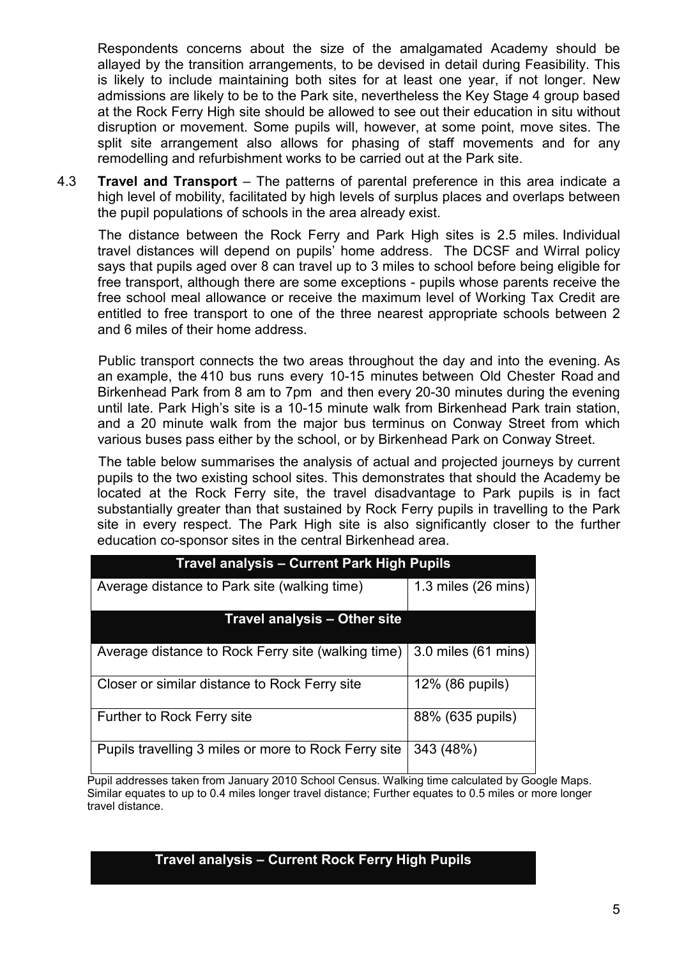Respondents concerns about the size of the amalgamated Academy should be allayed by the transition arrangements, to be devised in detail during Feasibility. This is likely to include maintaining both sites for at least one year, if not longer. New admissions are likely to be to the Park site, nevertheless the Key Stage 4 group based at the Rock Ferry High site should be allowed to see out their education in situ without disruption or movement. Some pupils will, however, at some point, move sites. The split site arrangement also allows for phasing of staff movements and for any remodelling and refurbishment works to be carried out at the Park site.

4.3 Travel and Transport – The patterns of parental preference in this area indicate a high level of mobility, facilitated by high levels of surplus places and overlaps between the pupil populations of schools in the area already exist.

The distance between the Rock Ferry and Park High sites is 2.5 miles. Individual travel distances will depend on pupils' home address. The DCSF and Wirral policy says that pupils aged over 8 can travel up to 3 miles to school before being eligible for free transport, although there are some exceptions - pupils whose parents receive the free school meal allowance or receive the maximum level of Working Tax Credit are entitled to free transport to one of the three nearest appropriate schools between 2 and 6 miles of their home address.

Public transport connects the two areas throughout the day and into the evening. As an example, the 410 bus runs every 10-15 minutes between Old Chester Road and Birkenhead Park from 8 am to 7pm and then every 20-30 minutes during the evening until late. Park High's site is a 10-15 minute walk from Birkenhead Park train station, and a 20 minute walk from the major bus terminus on Conway Street from which various buses pass either by the school, or by Birkenhead Park on Conway Street.

 The table below summarises the analysis of actual and projected journeys by current pupils to the two existing school sites. This demonstrates that should the Academy be located at the Rock Ferry site, the travel disadvantage to Park pupils is in fact substantially greater than that sustained by Rock Ferry pupils in travelling to the Park site in every respect. The Park High site is also significantly closer to the further education co-sponsor sites in the central Birkenhead area.

| <b>Travel analysis – Current Park High Pupils</b>                      |                               |  |
|------------------------------------------------------------------------|-------------------------------|--|
| Average distance to Park site (walking time)                           | 1.3 miles $(26 \text{ mins})$ |  |
| Travel analysis – Other site                                           |                               |  |
| Average distance to Rock Ferry site (walking time) 3.0 miles (61 mins) |                               |  |
| Closer or similar distance to Rock Ferry site                          | 12% (86 pupils)               |  |
| Further to Rock Ferry site                                             | 88% (635 pupils)              |  |
| Pupils travelling 3 miles or more to Rock Ferry site                   | 343 (48%)                     |  |

Pupil addresses taken from January 2010 School Census. Walking time calculated by Google Maps. Similar equates to up to 0.4 miles longer travel distance; Further equates to 0.5 miles or more longer travel distance.

#### Travel analysis – Current Rock Ferry High Pupils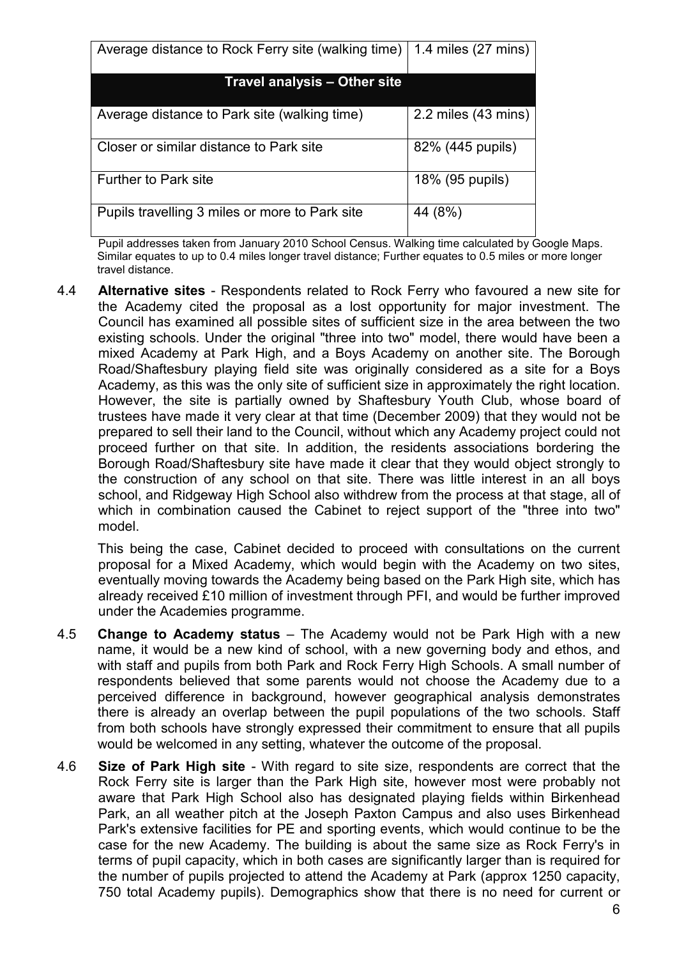| Average distance to Rock Ferry site (walking time) | 1.4 miles (27 mins)     |  |  |
|----------------------------------------------------|-------------------------|--|--|
| Travel analysis – Other site                       |                         |  |  |
| Average distance to Park site (walking time)       | $2.2$ miles $(43$ mins) |  |  |
| Closer or similar distance to Park site            | 82% (445 pupils)        |  |  |
| <b>Further to Park site</b>                        | 18% (95 pupils)         |  |  |
| Pupils travelling 3 miles or more to Park site     | 44 (8%)                 |  |  |

Pupil addresses taken from January 2010 School Census. Walking time calculated by Google Maps. Similar equates to up to 0.4 miles longer travel distance; Further equates to 0.5 miles or more longer travel distance.

4.4 Alternative sites - Respondents related to Rock Ferry who favoured a new site for the Academy cited the proposal as a lost opportunity for major investment. The Council has examined all possible sites of sufficient size in the area between the two existing schools. Under the original "three into two" model, there would have been a mixed Academy at Park High, and a Boys Academy on another site. The Borough Road/Shaftesbury playing field site was originally considered as a site for a Boys Academy, as this was the only site of sufficient size in approximately the right location. However, the site is partially owned by Shaftesbury Youth Club, whose board of trustees have made it very clear at that time (December 2009) that they would not be prepared to sell their land to the Council, without which any Academy project could not proceed further on that site. In addition, the residents associations bordering the Borough Road/Shaftesbury site have made it clear that they would object strongly to the construction of any school on that site. There was little interest in an all boys school, and Ridgeway High School also withdrew from the process at that stage, all of which in combination caused the Cabinet to reject support of the "three into two" model.

This being the case, Cabinet decided to proceed with consultations on the current proposal for a Mixed Academy, which would begin with the Academy on two sites, eventually moving towards the Academy being based on the Park High site, which has already received £10 million of investment through PFI, and would be further improved under the Academies programme.

- 4.5 Change to Academy status The Academy would not be Park High with a new name, it would be a new kind of school, with a new governing body and ethos, and with staff and pupils from both Park and Rock Ferry High Schools. A small number of respondents believed that some parents would not choose the Academy due to a perceived difference in background, however geographical analysis demonstrates there is already an overlap between the pupil populations of the two schools. Staff from both schools have strongly expressed their commitment to ensure that all pupils would be welcomed in any setting, whatever the outcome of the proposal.
- 4.6 Size of Park High site With regard to site size, respondents are correct that the Rock Ferry site is larger than the Park High site, however most were probably not aware that Park High School also has designated playing fields within Birkenhead Park, an all weather pitch at the Joseph Paxton Campus and also uses Birkenhead Park's extensive facilities for PE and sporting events, which would continue to be the case for the new Academy. The building is about the same size as Rock Ferry's in terms of pupil capacity, which in both cases are significantly larger than is required for the number of pupils projected to attend the Academy at Park (approx 1250 capacity, 750 total Academy pupils). Demographics show that there is no need for current or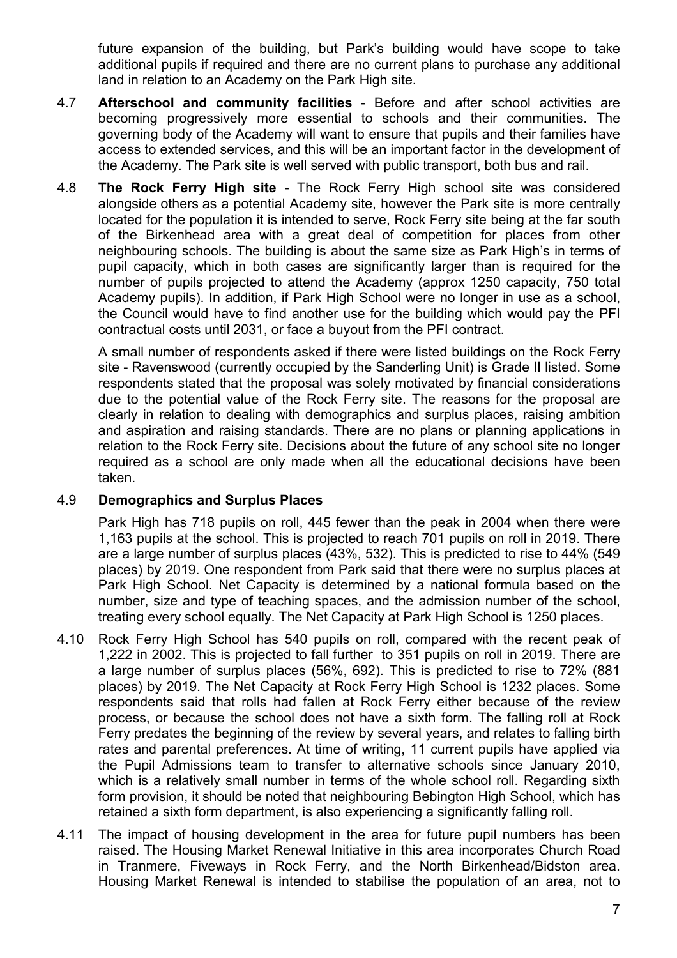future expansion of the building, but Park's building would have scope to take additional pupils if required and there are no current plans to purchase any additional land in relation to an Academy on the Park High site.

- 4.7 **Afterschool and community facilities** Before and after school activities are becoming progressively more essential to schools and their communities. The governing body of the Academy will want to ensure that pupils and their families have access to extended services, and this will be an important factor in the development of the Academy. The Park site is well served with public transport, both bus and rail.
- 4.8 The Rock Ferry High site The Rock Ferry High school site was considered alongside others as a potential Academy site, however the Park site is more centrally located for the population it is intended to serve, Rock Ferry site being at the far south of the Birkenhead area with a great deal of competition for places from other neighbouring schools. The building is about the same size as Park High's in terms of pupil capacity, which in both cases are significantly larger than is required for the number of pupils projected to attend the Academy (approx 1250 capacity, 750 total Academy pupils). In addition, if Park High School were no longer in use as a school, the Council would have to find another use for the building which would pay the PFI contractual costs until 2031, or face a buyout from the PFI contract.

 A small number of respondents asked if there were listed buildings on the Rock Ferry site - Ravenswood (currently occupied by the Sanderling Unit) is Grade II listed. Some respondents stated that the proposal was solely motivated by financial considerations due to the potential value of the Rock Ferry site. The reasons for the proposal are clearly in relation to dealing with demographics and surplus places, raising ambition and aspiration and raising standards. There are no plans or planning applications in relation to the Rock Ferry site. Decisions about the future of any school site no longer required as a school are only made when all the educational decisions have been taken.

#### 4.9 Demographics and Surplus Places

 Park High has 718 pupils on roll, 445 fewer than the peak in 2004 when there were 1,163 pupils at the school. This is projected to reach 701 pupils on roll in 2019. There are a large number of surplus places (43%, 532). This is predicted to rise to 44% (549 places) by 2019. One respondent from Park said that there were no surplus places at Park High School. Net Capacity is determined by a national formula based on the number, size and type of teaching spaces, and the admission number of the school, treating every school equally. The Net Capacity at Park High School is 1250 places.

- 4.10 Rock Ferry High School has 540 pupils on roll, compared with the recent peak of 1,222 in 2002. This is projected to fall further to 351 pupils on roll in 2019. There are a large number of surplus places (56%, 692). This is predicted to rise to 72% (881 places) by 2019. The Net Capacity at Rock Ferry High School is 1232 places. Some respondents said that rolls had fallen at Rock Ferry either because of the review process, or because the school does not have a sixth form. The falling roll at Rock Ferry predates the beginning of the review by several years, and relates to falling birth rates and parental preferences. At time of writing, 11 current pupils have applied via the Pupil Admissions team to transfer to alternative schools since January 2010, which is a relatively small number in terms of the whole school roll. Regarding sixth form provision, it should be noted that neighbouring Bebington High School, which has retained a sixth form department, is also experiencing a significantly falling roll.
- 4.11 The impact of housing development in the area for future pupil numbers has been raised. The Housing Market Renewal Initiative in this area incorporates Church Road in Tranmere, Fiveways in Rock Ferry, and the North Birkenhead/Bidston area. Housing Market Renewal is intended to stabilise the population of an area, not to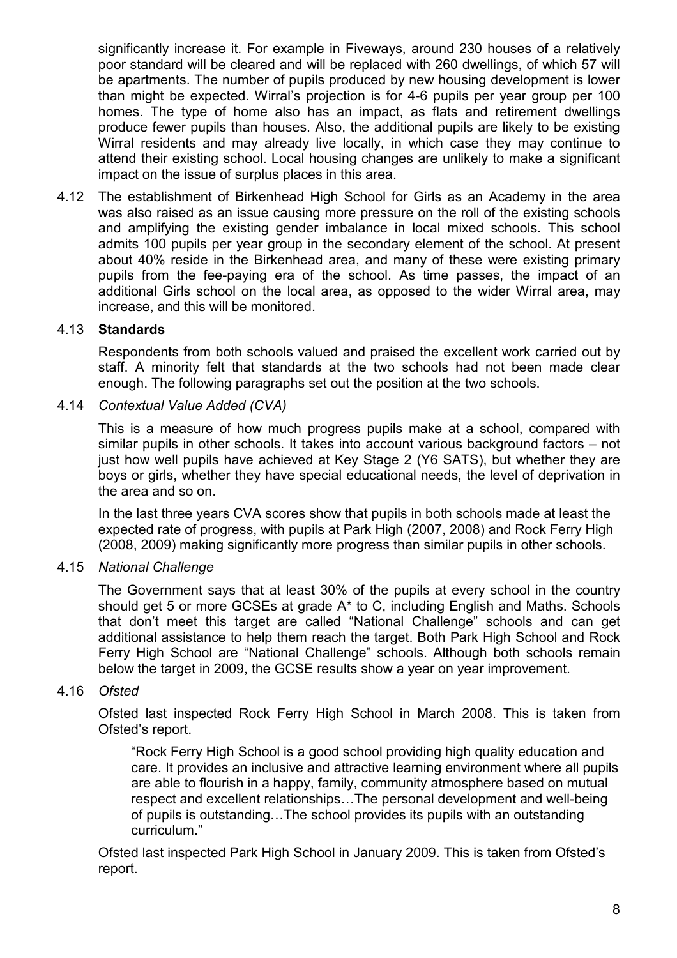significantly increase it. For example in Fiveways, around 230 houses of a relatively poor standard will be cleared and will be replaced with 260 dwellings, of which 57 will be apartments. The number of pupils produced by new housing development is lower than might be expected. Wirral's projection is for 4-6 pupils per year group per 100 homes. The type of home also has an impact, as flats and retirement dwellings produce fewer pupils than houses. Also, the additional pupils are likely to be existing Wirral residents and may already live locally, in which case they may continue to attend their existing school. Local housing changes are unlikely to make a significant impact on the issue of surplus places in this area.

4.12 The establishment of Birkenhead High School for Girls as an Academy in the area was also raised as an issue causing more pressure on the roll of the existing schools and amplifying the existing gender imbalance in local mixed schools. This school admits 100 pupils per year group in the secondary element of the school. At present about 40% reside in the Birkenhead area, and many of these were existing primary pupils from the fee-paying era of the school. As time passes, the impact of an additional Girls school on the local area, as opposed to the wider Wirral area, may increase, and this will be monitored.

#### 4.13 Standards

Respondents from both schools valued and praised the excellent work carried out by staff. A minority felt that standards at the two schools had not been made clear enough. The following paragraphs set out the position at the two schools.

4.14 Contextual Value Added (CVA)

This is a measure of how much progress pupils make at a school, compared with similar pupils in other schools. It takes into account various background factors – not just how well pupils have achieved at Key Stage 2 (Y6 SATS), but whether they are boys or girls, whether they have special educational needs, the level of deprivation in the area and so on.

In the last three years CVA scores show that pupils in both schools made at least the expected rate of progress, with pupils at Park High (2007, 2008) and Rock Ferry High (2008, 2009) making significantly more progress than similar pupils in other schools.

## 4.15 National Challenge

The Government says that at least 30% of the pupils at every school in the country should get 5 or more GCSEs at grade A\* to C, including English and Maths. Schools that don't meet this target are called "National Challenge" schools and can get additional assistance to help them reach the target. Both Park High School and Rock Ferry High School are "National Challenge" schools. Although both schools remain below the target in 2009, the GCSE results show a year on year improvement.

#### 4.16 Ofsted

Ofsted last inspected Rock Ferry High School in March 2008. This is taken from Ofsted's report.

"Rock Ferry High School is a good school providing high quality education and care. It provides an inclusive and attractive learning environment where all pupils are able to flourish in a happy, family, community atmosphere based on mutual respect and excellent relationships…The personal development and well-being of pupils is outstanding…The school provides its pupils with an outstanding curriculum."

Ofsted last inspected Park High School in January 2009. This is taken from Ofsted's report.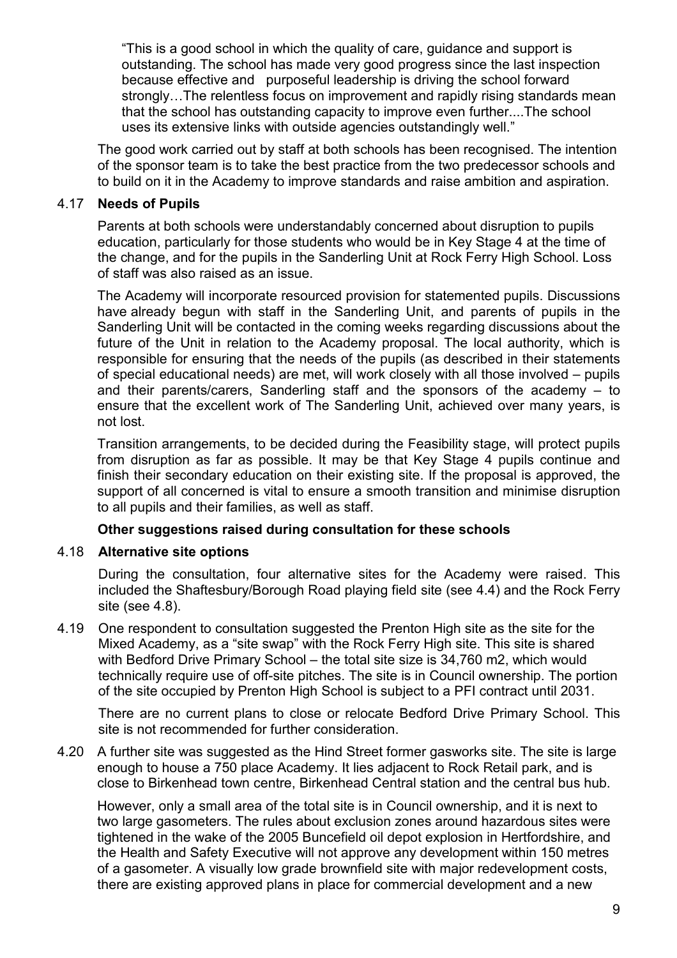"This is a good school in which the quality of care, guidance and support is outstanding. The school has made very good progress since the last inspection because effective and purposeful leadership is driving the school forward strongly…The relentless focus on improvement and rapidly rising standards mean that the school has outstanding capacity to improve even further....The school uses its extensive links with outside agencies outstandingly well."

 The good work carried out by staff at both schools has been recognised. The intention of the sponsor team is to take the best practice from the two predecessor schools and to build on it in the Academy to improve standards and raise ambition and aspiration.

## 4.17 Needs of Pupils

 Parents at both schools were understandably concerned about disruption to pupils education, particularly for those students who would be in Key Stage 4 at the time of the change, and for the pupils in the Sanderling Unit at Rock Ferry High School. Loss of staff was also raised as an issue.

The Academy will incorporate resourced provision for statemented pupils. Discussions have already begun with staff in the Sanderling Unit, and parents of pupils in the Sanderling Unit will be contacted in the coming weeks regarding discussions about the future of the Unit in relation to the Academy proposal. The local authority, which is responsible for ensuring that the needs of the pupils (as described in their statements of special educational needs) are met, will work closely with all those involved – pupils and their parents/carers, Sanderling staff and the sponsors of the academy – to ensure that the excellent work of The Sanderling Unit, achieved over many years, is not lost.

Transition arrangements, to be decided during the Feasibility stage, will protect pupils from disruption as far as possible. It may be that Key Stage 4 pupils continue and finish their secondary education on their existing site. If the proposal is approved, the support of all concerned is vital to ensure a smooth transition and minimise disruption to all pupils and their families, as well as staff.

#### Other suggestions raised during consultation for these schools

#### 4.18 Alternative site options

During the consultation, four alternative sites for the Academy were raised. This included the Shaftesbury/Borough Road playing field site (see 4.4) and the Rock Ferry site (see 4.8).

4.19 One respondent to consultation suggested the Prenton High site as the site for the Mixed Academy, as a "site swap" with the Rock Ferry High site. This site is shared with Bedford Drive Primary School – the total site size is 34,760 m2, which would technically require use of off-site pitches. The site is in Council ownership. The portion of the site occupied by Prenton High School is subject to a PFI contract until 2031.

There are no current plans to close or relocate Bedford Drive Primary School. This site is not recommended for further consideration.

4.20 A further site was suggested as the Hind Street former gasworks site. The site is large enough to house a 750 place Academy. It lies adjacent to Rock Retail park, and is close to Birkenhead town centre, Birkenhead Central station and the central bus hub.

However, only a small area of the total site is in Council ownership, and it is next to two large gasometers. The rules about exclusion zones around hazardous sites were tightened in the wake of the 2005 Buncefield oil depot explosion in Hertfordshire, and the Health and Safety Executive will not approve any development within 150 metres of a gasometer. A visually low grade brownfield site with major redevelopment costs, there are existing approved plans in place for commercial development and a new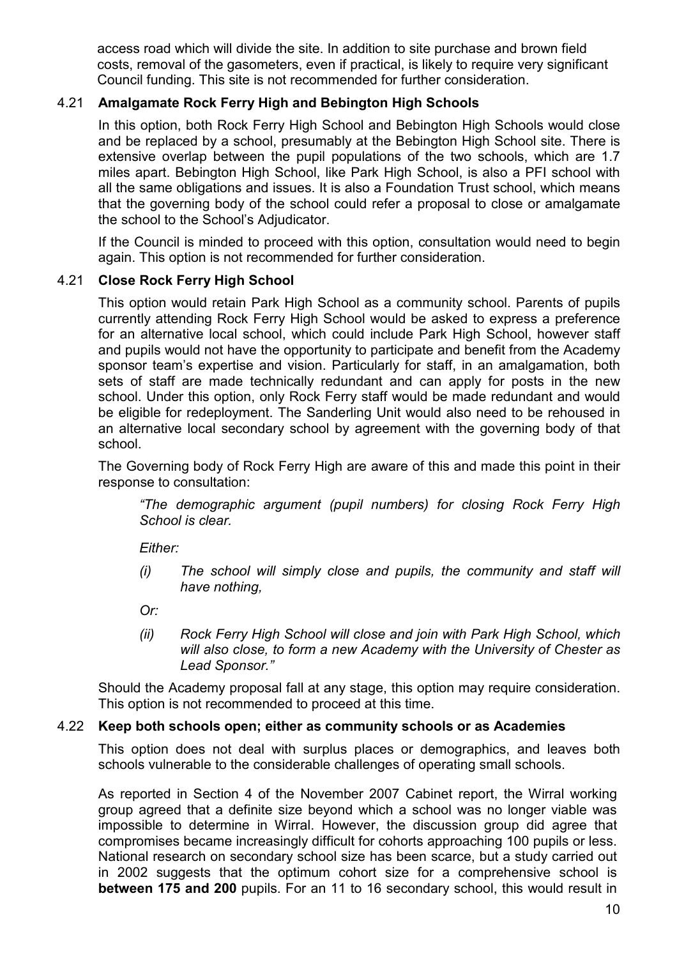access road which will divide the site. In addition to site purchase and brown field costs, removal of the gasometers, even if practical, is likely to require very significant Council funding. This site is not recommended for further consideration.

## 4.21 Amalgamate Rock Ferry High and Bebington High Schools

In this option, both Rock Ferry High School and Bebington High Schools would close and be replaced by a school, presumably at the Bebington High School site. There is extensive overlap between the pupil populations of the two schools, which are 1.7 miles apart. Bebington High School, like Park High School, is also a PFI school with all the same obligations and issues. It is also a Foundation Trust school, which means that the governing body of the school could refer a proposal to close or amalgamate the school to the School's Adjudicator.

If the Council is minded to proceed with this option, consultation would need to begin again. This option is not recommended for further consideration.

## 4.21 Close Rock Ferry High School

This option would retain Park High School as a community school. Parents of pupils currently attending Rock Ferry High School would be asked to express a preference for an alternative local school, which could include Park High School, however staff and pupils would not have the opportunity to participate and benefit from the Academy sponsor team's expertise and vision. Particularly for staff, in an amalgamation, both sets of staff are made technically redundant and can apply for posts in the new school. Under this option, only Rock Ferry staff would be made redundant and would be eligible for redeployment. The Sanderling Unit would also need to be rehoused in an alternative local secondary school by agreement with the governing body of that school.

The Governing body of Rock Ferry High are aware of this and made this point in their response to consultation:

"The demographic argument (pupil numbers) for closing Rock Ferry High School is clear.

Either:

(i) The school will simply close and pupils, the community and staff will have nothing,

Or:

(ii) Rock Ferry High School will close and join with Park High School, which will also close, to form a new Academy with the University of Chester as Lead Sponsor."

Should the Academy proposal fall at any stage, this option may require consideration. This option is not recommended to proceed at this time.

#### 4.22 Keep both schools open; either as community schools or as Academies

This option does not deal with surplus places or demographics, and leaves both schools vulnerable to the considerable challenges of operating small schools.

As reported in Section 4 of the November 2007 Cabinet report, the Wirral working group agreed that a definite size beyond which a school was no longer viable was impossible to determine in Wirral. However, the discussion group did agree that compromises became increasingly difficult for cohorts approaching 100 pupils or less. National research on secondary school size has been scarce, but a study carried out in 2002 suggests that the optimum cohort size for a comprehensive school is between 175 and 200 pupils. For an 11 to 16 secondary school, this would result in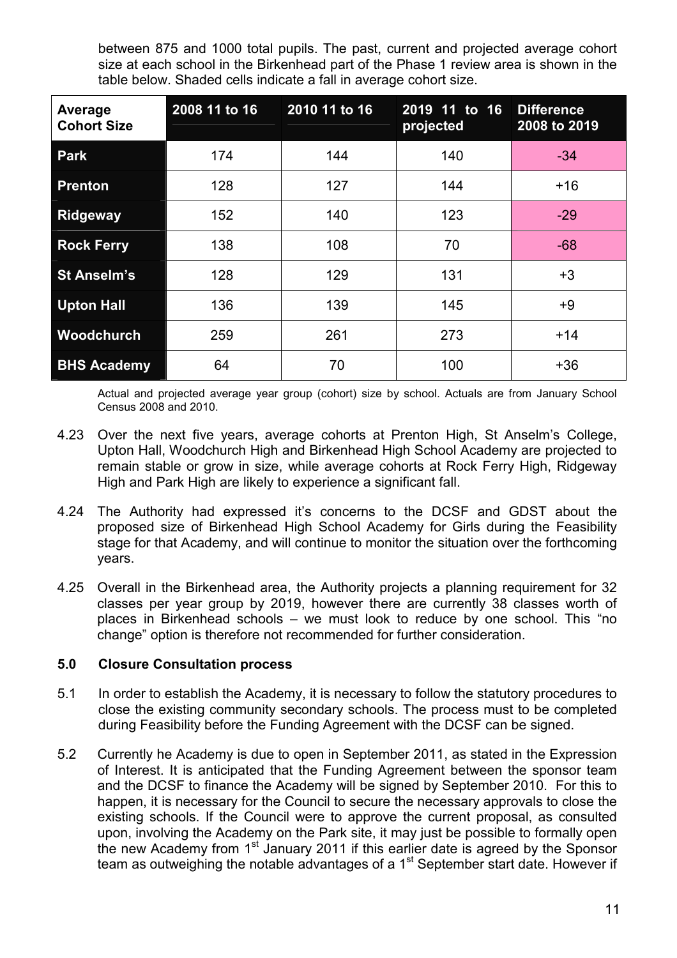between 875 and 1000 total pupils. The past, current and projected average cohort size at each school in the Birkenhead part of the Phase 1 review area is shown in the table below. Shaded cells indicate a fall in average cohort size.

| Average<br><b>Cohort Size</b> | 2008 11 to 16 | 2010 11 to 16 | 2019 11 to 16<br>projected | <b>Difference</b><br>2008 to 2019 |
|-------------------------------|---------------|---------------|----------------------------|-----------------------------------|
| <b>Park</b>                   | 174           | 144           | 140                        | $-34$                             |
| <b>Prenton</b>                | 128           | 127           | 144                        | $+16$                             |
| <b>Ridgeway</b>               | 152           | 140           | 123                        | $-29$                             |
| <b>Rock Ferry</b>             | 138           | 108           | 70                         | $-68$                             |
| St Anselm's                   | 128           | 129           | 131                        | $+3$                              |
| <b>Upton Hall</b>             | 136           | 139           | 145                        | +9                                |
| Woodchurch                    | 259           | 261           | 273                        | $+14$                             |
| <b>BHS Academy</b>            | 64            | 70            | 100                        | $+36$                             |

Actual and projected average year group (cohort) size by school. Actuals are from January School Census 2008 and 2010.

- 4.23 Over the next five years, average cohorts at Prenton High, St Anselm's College, Upton Hall, Woodchurch High and Birkenhead High School Academy are projected to remain stable or grow in size, while average cohorts at Rock Ferry High, Ridgeway High and Park High are likely to experience a significant fall.
- 4.24 The Authority had expressed it's concerns to the DCSF and GDST about the proposed size of Birkenhead High School Academy for Girls during the Feasibility stage for that Academy, and will continue to monitor the situation over the forthcoming years.
- 4.25 Overall in the Birkenhead area, the Authority projects a planning requirement for 32 classes per year group by 2019, however there are currently 38 classes worth of places in Birkenhead schools – we must look to reduce by one school. This "no change" option is therefore not recommended for further consideration.

#### 5.0 Closure Consultation process

- 5.1 In order to establish the Academy, it is necessary to follow the statutory procedures to close the existing community secondary schools. The process must to be completed during Feasibility before the Funding Agreement with the DCSF can be signed.
- 5.2 Currently he Academy is due to open in September 2011, as stated in the Expression of Interest. It is anticipated that the Funding Agreement between the sponsor team and the DCSF to finance the Academy will be signed by September 2010. For this to happen, it is necessary for the Council to secure the necessary approvals to close the existing schools. If the Council were to approve the current proposal, as consulted upon, involving the Academy on the Park site, it may just be possible to formally open the new Academy from 1<sup>st</sup> January 2011 if this earlier date is agreed by the Sponsor team as outweighing the notable advantages of a 1<sup>st</sup> September start date. However if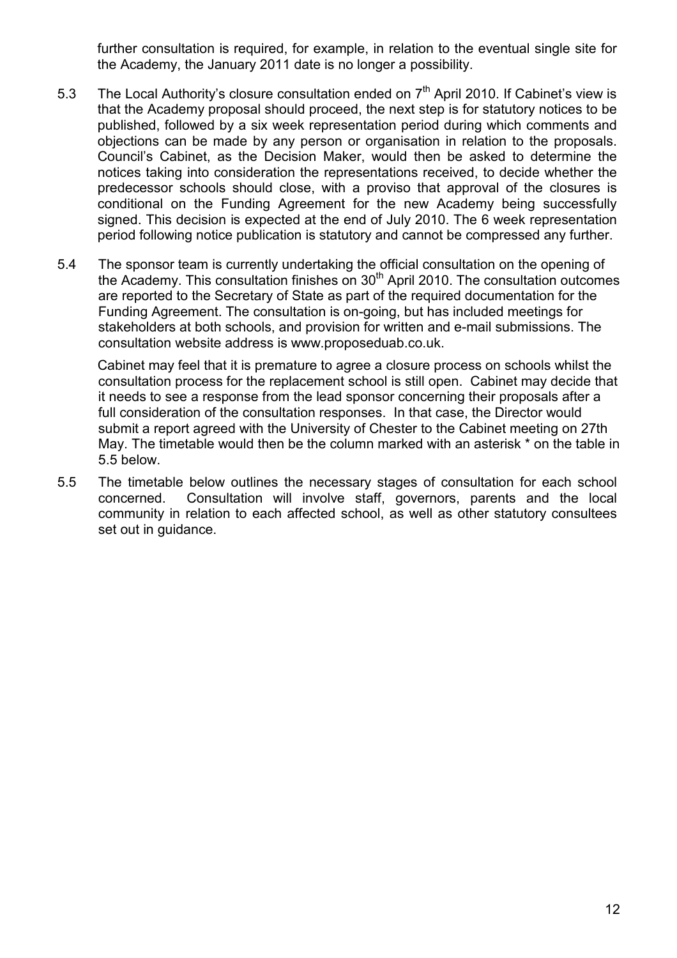further consultation is required, for example, in relation to the eventual single site for the Academy, the January 2011 date is no longer a possibility.

- 5.3 The Local Authority's closure consultation ended on  $7<sup>th</sup>$  April 2010. If Cabinet's view is that the Academy proposal should proceed, the next step is for statutory notices to be published, followed by a six week representation period during which comments and objections can be made by any person or organisation in relation to the proposals. Council's Cabinet, as the Decision Maker, would then be asked to determine the notices taking into consideration the representations received, to decide whether the predecessor schools should close, with a proviso that approval of the closures is conditional on the Funding Agreement for the new Academy being successfully signed. This decision is expected at the end of July 2010. The 6 week representation period following notice publication is statutory and cannot be compressed any further.
- 5.4 The sponsor team is currently undertaking the official consultation on the opening of the Academy. This consultation finishes on  $30<sup>th</sup>$  April 2010. The consultation outcomes are reported to the Secretary of State as part of the required documentation for the Funding Agreement. The consultation is on-going, but has included meetings for stakeholders at both schools, and provision for written and e-mail submissions. The consultation website address is www.proposeduab.co.uk.

Cabinet may feel that it is premature to agree a closure process on schools whilst the consultation process for the replacement school is still open. Cabinet may decide that it needs to see a response from the lead sponsor concerning their proposals after a full consideration of the consultation responses. In that case, the Director would submit a report agreed with the University of Chester to the Cabinet meeting on 27th May. The timetable would then be the column marked with an asterisk \* on the table in 5.5 below.

5.5 The timetable below outlines the necessary stages of consultation for each school concerned. Consultation will involve staff, governors, parents and the local community in relation to each affected school, as well as other statutory consultees set out in guidance.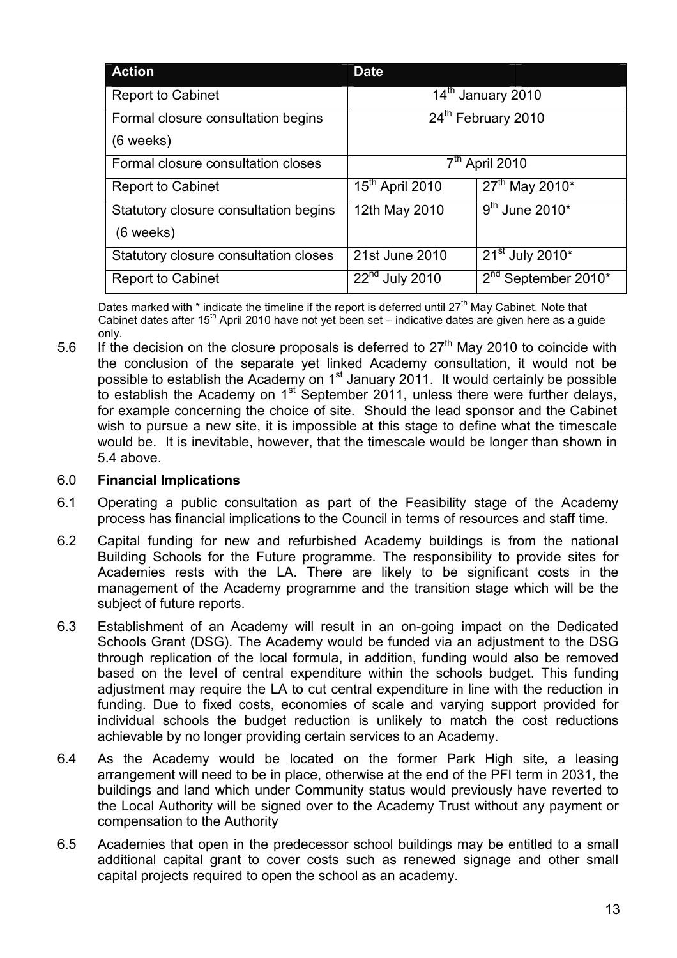| <b>Action</b>                                        | <b>Date</b>                   |                                             |  |
|------------------------------------------------------|-------------------------------|---------------------------------------------|--|
| <b>Report to Cabinet</b>                             | 14 <sup>th</sup> January 2010 |                                             |  |
| Formal closure consultation begins<br>$(6$ weeks)    | 24th February 2010            |                                             |  |
| Formal closure consultation closes                   | $7tn$ April 2010              |                                             |  |
| <b>Report to Cabinet</b>                             | 15 <sup>th</sup> April 2010   | 27 <sup>th</sup> May 2010 <sup>*</sup>      |  |
| Statutory closure consultation begins<br>$(6$ weeks) | 12th May 2010                 | $\overline{9}^{\text{th}}$ June 2010*       |  |
| Statutory closure consultation closes                | 21st June 2010                | 21 <sup>st</sup> July 2010*                 |  |
| <b>Report to Cabinet</b>                             | $22na$ July 2010              | 2 <sup>nd</sup> September 2010 <sup>*</sup> |  |

Dates marked with \* indicate the timeline if the report is deferred until 27<sup>th</sup> May Cabinet. Note that Cabinet dates after 15<sup>th</sup> April 2010 have not yet been set – indicative dates are given here as a guide only.

5.6 If the decision on the closure proposals is deferred to  $27<sup>th</sup>$  May 2010 to coincide with the conclusion of the separate yet linked Academy consultation, it would not be possible to establish the Academy on 1<sup>st</sup> January 2011. It would certainly be possible to establish the Academy on  $1<sup>st</sup>$  September 2011, unless there were further delays, for example concerning the choice of site. Should the lead sponsor and the Cabinet wish to pursue a new site, it is impossible at this stage to define what the timescale would be. It is inevitable, however, that the timescale would be longer than shown in 5.4 above.

#### 6.0 Financial Implications

- 6.1 Operating a public consultation as part of the Feasibility stage of the Academy process has financial implications to the Council in terms of resources and staff time.
- 6.2 Capital funding for new and refurbished Academy buildings is from the national Building Schools for the Future programme. The responsibility to provide sites for Academies rests with the LA. There are likely to be significant costs in the management of the Academy programme and the transition stage which will be the subject of future reports.
- 6.3 Establishment of an Academy will result in an on-going impact on the Dedicated Schools Grant (DSG). The Academy would be funded via an adjustment to the DSG through replication of the local formula, in addition, funding would also be removed based on the level of central expenditure within the schools budget. This funding adjustment may require the LA to cut central expenditure in line with the reduction in funding. Due to fixed costs, economies of scale and varying support provided for individual schools the budget reduction is unlikely to match the cost reductions achievable by no longer providing certain services to an Academy.
- 6.4 As the Academy would be located on the former Park High site, a leasing arrangement will need to be in place, otherwise at the end of the PFI term in 2031, the buildings and land which under Community status would previously have reverted to the Local Authority will be signed over to the Academy Trust without any payment or compensation to the Authority
- 6.5 Academies that open in the predecessor school buildings may be entitled to a small additional capital grant to cover costs such as renewed signage and other small capital projects required to open the school as an academy.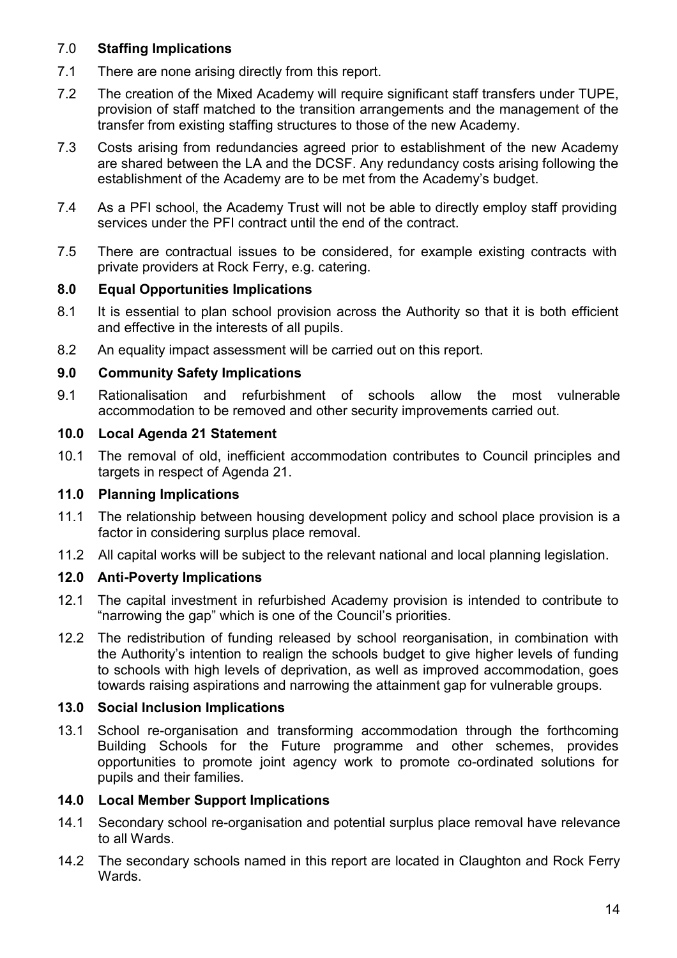## 7.0 Staffing Implications

- 7.1 There are none arising directly from this report.
- 7.2 The creation of the Mixed Academy will require significant staff transfers under TUPE, provision of staff matched to the transition arrangements and the management of the transfer from existing staffing structures to those of the new Academy.
- 7.3 Costs arising from redundancies agreed prior to establishment of the new Academy are shared between the LA and the DCSF. Any redundancy costs arising following the establishment of the Academy are to be met from the Academy's budget.
- 7.4 As a PFI school, the Academy Trust will not be able to directly employ staff providing services under the PFI contract until the end of the contract.
- 7.5 There are contractual issues to be considered, for example existing contracts with private providers at Rock Ferry, e.g. catering.

#### 8.0 Equal Opportunities Implications

- 8.1 It is essential to plan school provision across the Authority so that it is both efficient and effective in the interests of all pupils.
- 8.2 An equality impact assessment will be carried out on this report.

#### 9.0 Community Safety Implications

9.1 Rationalisation and refurbishment of schools allow the most vulnerable accommodation to be removed and other security improvements carried out.

#### 10.0 Local Agenda 21 Statement

10.1 The removal of old, inefficient accommodation contributes to Council principles and targets in respect of Agenda 21.

#### 11.0 Planning Implications

- 11.1 The relationship between housing development policy and school place provision is a factor in considering surplus place removal.
- 11.2 All capital works will be subject to the relevant national and local planning legislation.

#### 12.0 Anti-Poverty Implications

- 12.1 The capital investment in refurbished Academy provision is intended to contribute to "narrowing the gap" which is one of the Council's priorities.
- 12.2 The redistribution of funding released by school reorganisation, in combination with the Authority's intention to realign the schools budget to give higher levels of funding to schools with high levels of deprivation, as well as improved accommodation, goes towards raising aspirations and narrowing the attainment gap for vulnerable groups.

#### 13.0 Social Inclusion Implications

13.1 School re-organisation and transforming accommodation through the forthcoming Building Schools for the Future programme and other schemes, provides opportunities to promote joint agency work to promote co-ordinated solutions for pupils and their families.

#### 14.0 Local Member Support Implications

- 14.1 Secondary school re-organisation and potential surplus place removal have relevance to all Wards.
- 14.2 The secondary schools named in this report are located in Claughton and Rock Ferry Wards.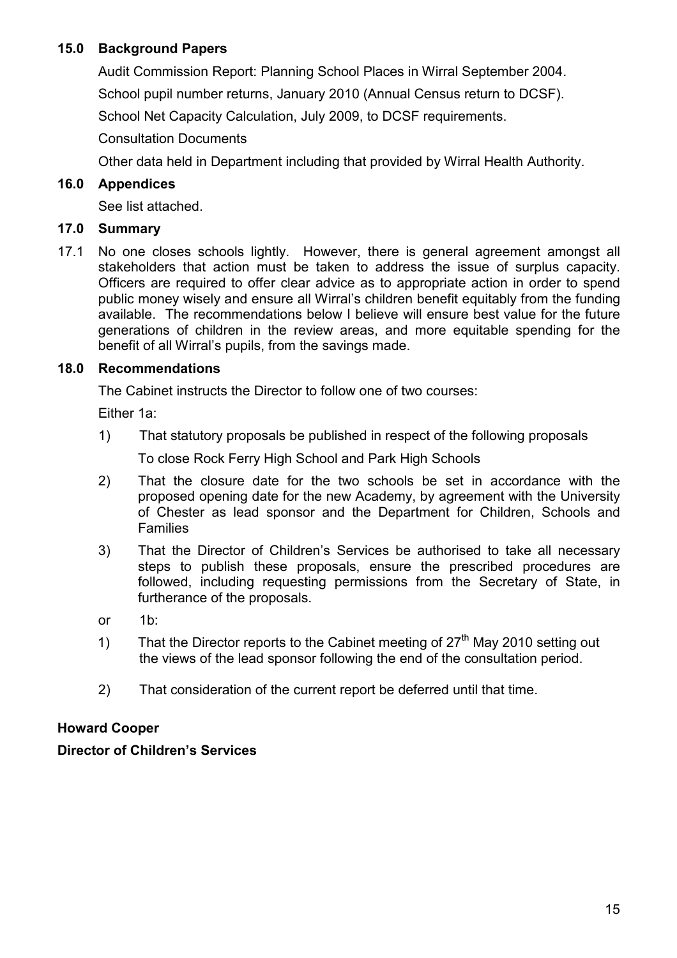## 15.0 Background Papers

 Audit Commission Report: Planning School Places in Wirral September 2004. School pupil number returns, January 2010 (Annual Census return to DCSF).

School Net Capacity Calculation, July 2009, to DCSF requirements.

Consultation Documents

Other data held in Department including that provided by Wirral Health Authority.

## 16.0 Appendices

See list attached.

## 17.0 Summary

17.1 No one closes schools lightly. However, there is general agreement amongst all stakeholders that action must be taken to address the issue of surplus capacity. Officers are required to offer clear advice as to appropriate action in order to spend public money wisely and ensure all Wirral's children benefit equitably from the funding available. The recommendations below I believe will ensure best value for the future generations of children in the review areas, and more equitable spending for the benefit of all Wirral's pupils, from the savings made.

## 18.0 Recommendations

The Cabinet instructs the Director to follow one of two courses:

Either 1a:

1) That statutory proposals be published in respect of the following proposals

To close Rock Ferry High School and Park High Schools

- 2) That the closure date for the two schools be set in accordance with the proposed opening date for the new Academy, by agreement with the University of Chester as lead sponsor and the Department for Children, Schools and Families
- 3) That the Director of Children's Services be authorised to take all necessary steps to publish these proposals, ensure the prescribed procedures are followed, including requesting permissions from the Secretary of State, in furtherance of the proposals.
- or 1b:
- 1) That the Director reports to the Cabinet meeting of  $27<sup>th</sup>$  May 2010 setting out the views of the lead sponsor following the end of the consultation period.
- 2) That consideration of the current report be deferred until that time.

## Howard Cooper

## Director of Children's Services